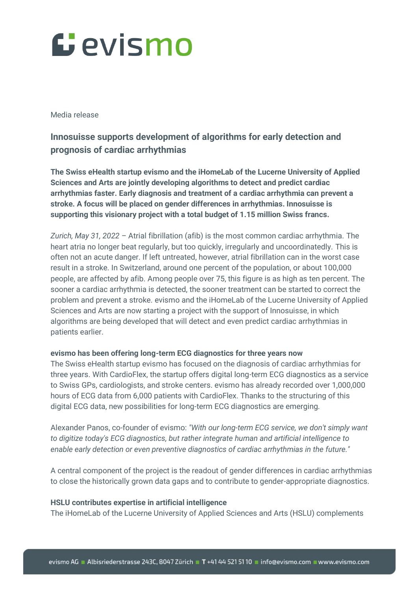# Gevismo

### Media release

## **Innosuisse supports development of algorithms for early detection and prognosis of cardiac arrhythmias**

**The Swiss eHealth startup evismo and the iHomeLab of the Lucerne University of Applied Sciences and Arts are jointly developing algorithms to detect and predict cardiac arrhythmias faster. Early diagnosis and treatment of a cardiac arrhythmia can prevent a stroke. A focus will be placed on gender differences in arrhythmias. Innosuisse is supporting this visionary project with a total budget of 1.15 million Swiss francs.**

*Zurich, May 31, 2022 –* Atrial fibrillation (afib) is the most common cardiac arrhythmia. The heart atria no longer beat regularly, but too quickly, irregularly and uncoordinatedly. This is often not an acute danger. If left untreated, however, atrial fibrillation can in the worst case result in a stroke. In Switzerland, around one percent of the population, or about 100,000 people, are affected by afib. Among people over 75, this figure is as high as ten percent. The sooner a cardiac arrhythmia is detected, the sooner treatment can be started to correct the problem and prevent a stroke. evismo and the iHomeLab of the Lucerne University of Applied Sciences and Arts are now starting a project with the support of Innosuisse, in which algorithms are being developed that will detect and even predict cardiac arrhythmias in patients earlier.

### **evismo has been offering long-term ECG diagnostics for three years now**

The Swiss eHealth startup evismo has focused on the diagnosis of cardiac arrhythmias for three years. With CardioFlex, the startup offers digital long-term ECG diagnostics as a service to Swiss GPs, cardiologists, and stroke centers. evismo has already recorded over 1,000,000 hours of ECG data from 6,000 patients with CardioFlex. Thanks to the structuring of this digital ECG data, new possibilities for long-term ECG diagnostics are emerging.

Alexander Panos, co-founder of evismo: *"With our long-term ECG service, we don't simply want to digitize today's ECG diagnostics, but rather integrate human and artificial intelligence to enable early detection or even preventive diagnostics of cardiac arrhythmias in the future."*

A central component of the project is the readout of gender differences in cardiac arrhythmias to close the historically grown data gaps and to contribute to gender-appropriate diagnostics.

### **HSLU contributes expertise in artificial intelligence**

The iHomeLab of the Lucerne University of Applied Sciences and Arts (HSLU) complements